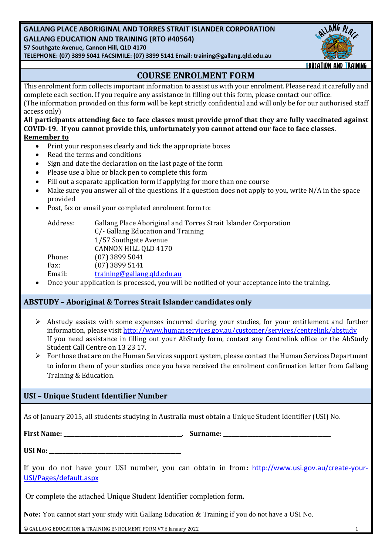# **GALLANG PLACE ABORIGINAL AND TORRES STRAIT ISLANDER CORPORATION GALLANG EDUCATION AND TRAINING (RTO #40564)**

**57 Southgate Avenue, Cannon Hill, QLD 4170**

**TELEPHONE: (07) 3899 5041 FACSIMILE: (07) 3899 5141 Email: training@gallang.qld.edu.au**



## **COURSE ENROLMENT FORM**

This enrolment form collects important information to assist us with your enrolment. Please read it carefully and complete each section. If you require any assistance in filling out this form, please contact our office. (The information provided on this form will be kept strictly confidential and will only be for our authorised staff access only) All participants attending face to face classes must provide proof that they are fully vaccinated against COVID-19. If you cannot provide this, unfortunately you cannot attend our face to face classes.

## **Remember** to

- Print your responses clearly and tick the appropriate boxes
- Read the terms and conditions
- Sign and date the declaration on the last page of the form
- Please use a blue or black pen to complete this form
- Fill out a separate application form if applying for more than one course
- Make sure you answer all of the questions. If a question does not apply to you, write  $N/A$  in the space provided
- Post, fax or email your completed enrolment form to:

| Address: | Gallang Place Aboriginal and Torres Strait Islander Corporation                                                                                                                                                                |
|----------|--------------------------------------------------------------------------------------------------------------------------------------------------------------------------------------------------------------------------------|
|          | C/- Gallang Education and Training                                                                                                                                                                                             |
|          | 1/57 Southgate Avenue                                                                                                                                                                                                          |
|          | CANNON HILL QLD 4170                                                                                                                                                                                                           |
| Phone:   | $(07)$ 3899 5041                                                                                                                                                                                                               |
| Fax:     | $(07)$ 3899 5141                                                                                                                                                                                                               |
| Email:   | training@gallang.qld.edu.au                                                                                                                                                                                                    |
|          | the property of the control of the control of the control of the control of the control of the control of the control of the control of the control of the control of the control of the control of the control of the control |

Once your application is processed, you will be notified of your acceptance into the training.

## **ABSTUDY – Aboriginal & Torres Strait Islander candidates only**

- $\triangleright$  Abstudy assists with some expenses incurred during your studies, for your entitlement and further information, please visit http://www.humanservices.gov.au/customer/services/centrelink/abstudy If you need assistance in filling out your AbStudy form, contact any Centrelink office or the AbStudy Student Call Centre on 13 23 17.
- $\triangleright$  For those that are on the Human Services support system, please contact the Human Services Department to inform them of your studies once you have received the enrolment confirmation letter from Gallang Training & Education.

# **USI – Unique Student Identifier Number**

As of January 2015, all students studying in Australia must obtain a Unique Student Identifier (USI) No.

**First Name:** The Community of the Surname:  $\frac{1}{2}$  and  $\frac{1}{2}$  and  $\frac{1}{2}$  and  $\frac{1}{2}$  and  $\frac{1}{2}$  and  $\frac{1}{2}$  and  $\frac{1}{2}$  and  $\frac{1}{2}$  and  $\frac{1}{2}$  and  $\frac{1}{2}$  and  $\frac{1}{2}$  and  $\frac{1}{2}$  and  $\frac{1}{2}$ 

**USI No:** 

If you do not have your USI number, you can obtain in from: http://www.usi.gov.au/create-your-USI/Pages/default.aspx

Or complete the attached Unique Student Identifier completion form**.**

**Note:** You cannot start your study with Gallang Education & Training if you do not have a USI No.

 $\odot$  GALLANG EDUCATION & TRAINING ENROLMENT FORM V7.6 January 2022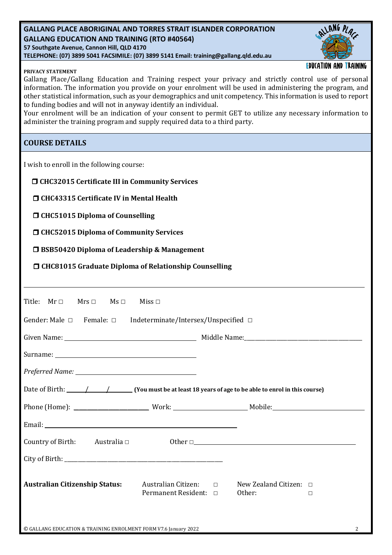## **GALLANG PLACE ABORIGINAL AND TORRES STRAIT ISLANDER CORPORATION GALLANG EDUCATION AND TRAINING (RTO #40564) 57 Southgate Avenue, Cannon Hill, QLD 4170 TELEPHONE: (07) 3899 5041 FACSIMILE: (07) 3899 5141 Email: training@gallang.qld.edu.au**



## **PRIVACY STATEMENT**

**EDUCATION AND TRAINING** 

Gallang Place/Gallang Education and Training respect your privacy and strictly control use of personal information. The information you provide on your enrolment will be used in administering the program, and other statistical information, such as your demographics and unit competency. This information is used to report to funding bodies and will not in anyway identify an individual.

Your enrolment will be an indication of your consent to permit GET to utilize any necessary information to administer the training program and supply required data to a third party.

## **COURSE DETAILS**

I wish to enroll in the following course:

| □ CHC32015 Certificate III in Community Services |
|--------------------------------------------------|
|--------------------------------------------------|

 $\Box$  CHC43315 Certificate IV in Mental Health

 $\Box$  CHC51015 Diploma of Counselling

□ CHC52015 Diploma of Community Services

□ BSB50420 Diploma of Leadership & Management

□ CHC81015 Graduate Diploma of Relationship Counselling

| $Mrs \Box$ Ms $\Box$<br>Title: $Mr \Box$<br>Miss $\square$                              |                                                 |  |  |  |  |
|-----------------------------------------------------------------------------------------|-------------------------------------------------|--|--|--|--|
| Gender: Male $\Box$ Female: $\Box$ Indeterminate/Intersex/Unspecified $\Box$            |                                                 |  |  |  |  |
|                                                                                         |                                                 |  |  |  |  |
|                                                                                         |                                                 |  |  |  |  |
|                                                                                         |                                                 |  |  |  |  |
|                                                                                         |                                                 |  |  |  |  |
|                                                                                         |                                                 |  |  |  |  |
|                                                                                         |                                                 |  |  |  |  |
| Country of Birth: Australia $\Box$                                                      | 0ther $\Box$                                    |  |  |  |  |
|                                                                                         |                                                 |  |  |  |  |
| <b>Australian Citizenship Status:</b><br>Australian Citizen: □<br>Permanent Resident: □ | New Zealand Citizen: $\Box$<br>Other:<br>$\Box$ |  |  |  |  |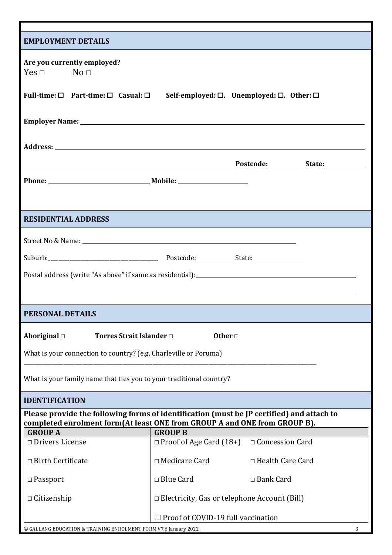| <b>EMPLOYMENT DETAILS</b>                                                                                     |                                                                                                                                                                                                                                |  |  |  |  |  |  |
|---------------------------------------------------------------------------------------------------------------|--------------------------------------------------------------------------------------------------------------------------------------------------------------------------------------------------------------------------------|--|--|--|--|--|--|
| Are you currently employed?<br>$Yes \Box$ No $\Box$                                                           |                                                                                                                                                                                                                                |  |  |  |  |  |  |
| Full-time: $\Box$ Part-time: $\Box$ Casual: $\Box$ Self-employed: $\Box$ . Unemployed: $\Box$ . Other: $\Box$ |                                                                                                                                                                                                                                |  |  |  |  |  |  |
|                                                                                                               |                                                                                                                                                                                                                                |  |  |  |  |  |  |
|                                                                                                               |                                                                                                                                                                                                                                |  |  |  |  |  |  |
|                                                                                                               |                                                                                                                                                                                                                                |  |  |  |  |  |  |
| Phone: Mobile: Mobile:                                                                                        |                                                                                                                                                                                                                                |  |  |  |  |  |  |
|                                                                                                               |                                                                                                                                                                                                                                |  |  |  |  |  |  |
| <b>RESIDENTIAL ADDRESS</b>                                                                                    |                                                                                                                                                                                                                                |  |  |  |  |  |  |
|                                                                                                               | Street No & Name: No & Name: No & Name: No & Name: No & Name: No & Name: No & Name: No & Name: No & Name: No & Name: No & Name: No & Name: No & Name: No & Name: No & Name: No & Name: No & Name: No & Name: No & Name: No & N |  |  |  |  |  |  |
|                                                                                                               |                                                                                                                                                                                                                                |  |  |  |  |  |  |
|                                                                                                               | Postal address (write "As above" if same as residential):<br><u>Postal address (write "As above" if same as residential):</u>                                                                                                  |  |  |  |  |  |  |
|                                                                                                               |                                                                                                                                                                                                                                |  |  |  |  |  |  |
|                                                                                                               |                                                                                                                                                                                                                                |  |  |  |  |  |  |
| <b>PERSONAL DETAILS</b>                                                                                       |                                                                                                                                                                                                                                |  |  |  |  |  |  |
| Torres Strait Islander □<br>Aboriginal $\Box$                                                                 | Other $\Box$                                                                                                                                                                                                                   |  |  |  |  |  |  |
| What is your connection to country? (e.g. Charleville or Poruma)                                              |                                                                                                                                                                                                                                |  |  |  |  |  |  |
|                                                                                                               |                                                                                                                                                                                                                                |  |  |  |  |  |  |
| What is your family name that ties you to your traditional country?                                           |                                                                                                                                                                                                                                |  |  |  |  |  |  |
| <b>IDENTIFICATION</b>                                                                                         |                                                                                                                                                                                                                                |  |  |  |  |  |  |
|                                                                                                               | Please provide the following forms of identification (must be JP certified) and attach to<br>completed enrolment form(At least ONE from GROUP A and ONE from GROUP B).                                                         |  |  |  |  |  |  |
| <b>GROUP A</b>                                                                                                | <b>GROUP B</b>                                                                                                                                                                                                                 |  |  |  |  |  |  |
| $\Box$ Drivers License                                                                                        | $\Box$ Proof of Age Card (18+)<br>□ Concession Card                                                                                                                                                                            |  |  |  |  |  |  |
| $\Box$ Birth Certificate                                                                                      | □ Medicare Card<br>□ Health Care Card                                                                                                                                                                                          |  |  |  |  |  |  |
| $\Box$ Passport                                                                                               | □ Blue Card<br>□ Bank Card                                                                                                                                                                                                     |  |  |  |  |  |  |
| $\Box$ Citizenship                                                                                            | $\Box$ Electricity, Gas or telephone Account (Bill)                                                                                                                                                                            |  |  |  |  |  |  |
| $\Box$ Proof of COVID-19 full vaccination                                                                     |                                                                                                                                                                                                                                |  |  |  |  |  |  |
| © GALLANG EDUCATION & TRAINING ENROLMENT FORM V7.6 January 2022<br>3                                          |                                                                                                                                                                                                                                |  |  |  |  |  |  |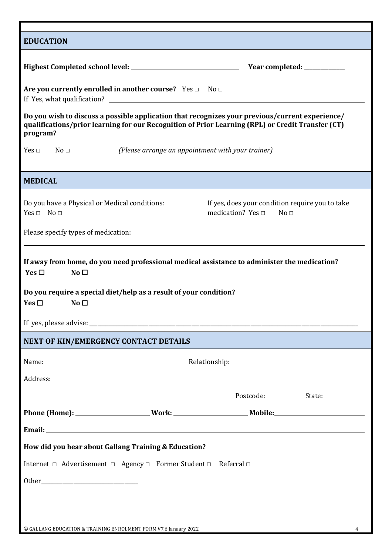| <b>EDUCATION</b>                                                                                                                                                                                                               |  |  |  |  |  |  |
|--------------------------------------------------------------------------------------------------------------------------------------------------------------------------------------------------------------------------------|--|--|--|--|--|--|
| Year completed: __________                                                                                                                                                                                                     |  |  |  |  |  |  |
| Are you currently enrolled in another course? Yes □ No □                                                                                                                                                                       |  |  |  |  |  |  |
| Do you wish to discuss a possible application that recognizes your previous/current experience/<br>qualifications/prior learning for our Recognition of Prior Learning (RPL) or Credit Transfer (CT)<br>program?               |  |  |  |  |  |  |
| No <sub>1</sub><br>(Please arrange an appointment with your trainer)<br>Yes $\Box$                                                                                                                                             |  |  |  |  |  |  |
| <b>MEDICAL</b>                                                                                                                                                                                                                 |  |  |  |  |  |  |
| If yes, does your condition require you to take<br>Do you have a Physical or Medical conditions:<br>$Yes \Box No \Box$<br>medication? Yes $\sqcap$<br>No <sub>1</sub>                                                          |  |  |  |  |  |  |
| Please specify types of medication:                                                                                                                                                                                            |  |  |  |  |  |  |
| If away from home, do you need professional medical assistance to administer the medication?<br>Yes $\Box$<br>No <sub>1</sub>                                                                                                  |  |  |  |  |  |  |
| Do you require a special diet/help as a result of your condition?<br>Yes $\square$<br>No <sub>1</sub>                                                                                                                          |  |  |  |  |  |  |
|                                                                                                                                                                                                                                |  |  |  |  |  |  |
| NEXT OF KIN/EMERGENCY CONTACT DETAILS                                                                                                                                                                                          |  |  |  |  |  |  |
| Name: Name: Name: Name: Name: Nelationship: Nelationship: Name: Name: Name: Name: Name: Name: Name: Name: Name: Name: Name: Name: Name: Name: Name: Name: Name: Name: Name: Name: Name: Name: Name: Name: Name: Name: Name: Na |  |  |  |  |  |  |
|                                                                                                                                                                                                                                |  |  |  |  |  |  |
|                                                                                                                                                                                                                                |  |  |  |  |  |  |
|                                                                                                                                                                                                                                |  |  |  |  |  |  |
|                                                                                                                                                                                                                                |  |  |  |  |  |  |
| How did you hear about Gallang Training & Education?                                                                                                                                                                           |  |  |  |  |  |  |
| Internet □ Advertisement □ Agency □ Former Student □ Referral □                                                                                                                                                                |  |  |  |  |  |  |
|                                                                                                                                                                                                                                |  |  |  |  |  |  |
|                                                                                                                                                                                                                                |  |  |  |  |  |  |
|                                                                                                                                                                                                                                |  |  |  |  |  |  |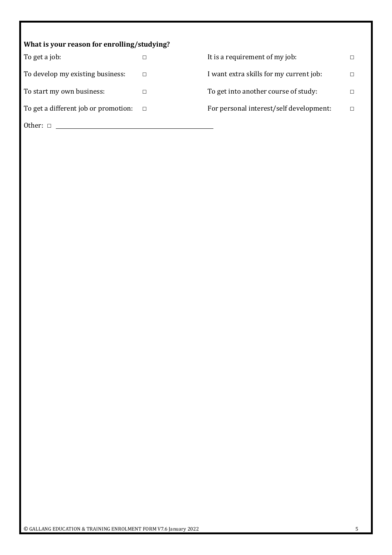| What is your reason for enrolling/studying? |        |                                         |  |  |  |  |  |
|---------------------------------------------|--------|-----------------------------------------|--|--|--|--|--|
| To get a job:                               |        | It is a requirement of my job:          |  |  |  |  |  |
| To develop my existing business:            |        | I want extra skills for my current job: |  |  |  |  |  |
| To start my own business:                   |        | To get into another course of study:    |  |  |  |  |  |
| To get a different job or promotion:        | $\Box$ | For personal interest/self development: |  |  |  |  |  |
| Other: $\Box$                               |        |                                         |  |  |  |  |  |